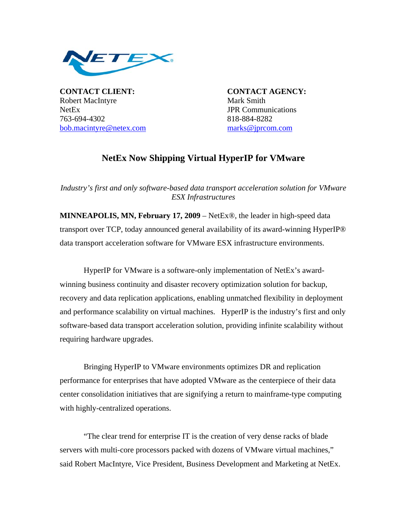

**CONTACT CLIENT: CONTACT AGENCY:** Robert MacIntyre Mark Smith NetEx **JPR** Communications 763-694-4302 818-884-8282 [bob.macintyre@netex.com](mailto:bob.macintyre@netex.com) [marks@jprcom.com](mailto:marks@jprcom.com)

## **NetEx Now Shipping Virtual HyperIP for VMware**

*Industry's first and only software-based data transport acceleration solution for VMware ESX Infrastructures* 

**MINNEAPOLIS, MN, February 17, 2009** – NetEx®, the leader in high-speed data transport over TCP, today announced general availability of its award-winning HyperIP® data transport acceleration software for VMware ESX infrastructure environments.

HyperIP for VMware is a software-only implementation of NetEx's awardwinning business continuity and disaster recovery optimization solution for backup, recovery and data replication applications, enabling unmatched flexibility in deployment and performance scalability on virtual machines. HyperIP is the industry's first and only software-based data transport acceleration solution, providing infinite scalability without requiring hardware upgrades.

 Bringing HyperIP to VMware environments optimizes DR and replication performance for enterprises that have adopted VMware as the centerpiece of their data center consolidation initiatives that are signifying a return to mainframe-type computing with highly-centralized operations.

"The clear trend for enterprise IT is the creation of very dense racks of blade servers with multi-core processors packed with dozens of VMware virtual machines," said Robert MacIntyre, Vice President, Business Development and Marketing at NetEx.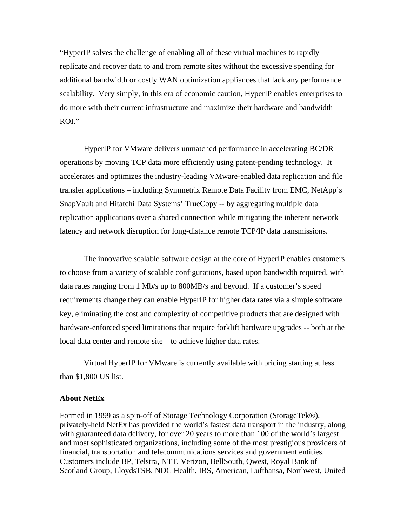"HyperIP solves the challenge of enabling all of these virtual machines to rapidly replicate and recover data to and from remote sites without the excessive spending for additional bandwidth or costly WAN optimization appliances that lack any performance scalability. Very simply, in this era of economic caution, HyperIP enables enterprises to do more with their current infrastructure and maximize their hardware and bandwidth ROI."

HyperIP for VMware delivers unmatched performance in accelerating BC/DR operations by moving TCP data more efficiently using patent-pending technology. It accelerates and optimizes the industry-leading VMware-enabled data replication and file transfer applications – including Symmetrix Remote Data Facility from EMC, NetApp's SnapVault and Hitatchi Data Systems' TrueCopy -- by aggregating multiple data replication applications over a shared connection while mitigating the inherent network latency and network disruption for long-distance remote TCP/IP data transmissions.

The innovative scalable software design at the core of HyperIP enables customers to choose from a variety of scalable configurations, based upon bandwidth required, with data rates ranging from 1 Mb/s up to 800MB/s and beyond. If a customer's speed requirements change they can enable HyperIP for higher data rates via a simple software key, eliminating the cost and complexity of competitive products that are designed with hardware-enforced speed limitations that require forklift hardware upgrades -- both at the local data center and remote site – to achieve higher data rates.

Virtual HyperIP for VMware is currently available with pricing starting at less than \$1,800 US list.

## **About NetEx**

Formed in 1999 as a spin-off of Storage Technology Corporation (StorageTek®), privately-held NetEx has provided the world's fastest data transport in the industry, along with guaranteed data delivery, for over 20 years to more than 100 of the world's largest and most sophisticated organizations, including some of the most prestigious providers of financial, transportation and telecommunications services and government entities. Customers include BP, Telstra, NTT, Verizon, BellSouth, Qwest, Royal Bank of Scotland Group, LloydsTSB, NDC Health, IRS, American, Lufthansa, Northwest, United